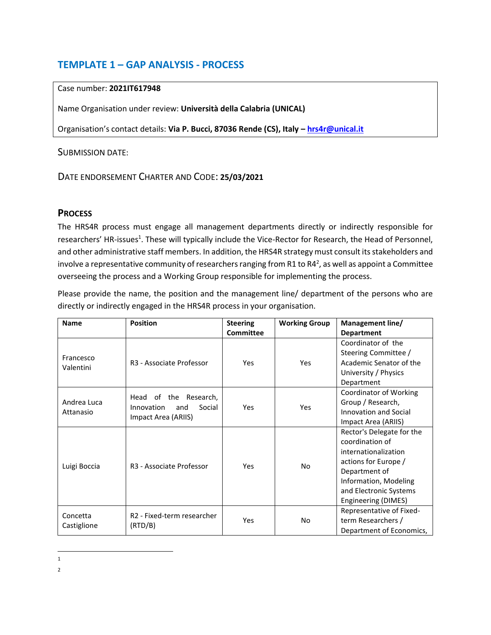# **TEMPLATE 1 – GAP ANALYSIS - PROCESS**

#### Case number: **2021IT617948**

Name Organisation under review: **Università della Calabria (UNICAL)**

Organisation's contact details: **Via P. Bucci, 87036 Rende (CS), Italy – [hrs4r@unical.it](mailto:hrs4r@unical.it)**

### SUBMISSION DATE:

# DATE ENDORSEMENT CHARTER AND CODE: **25/03/2021**

# **PROCESS**

The HRS4R process must engage all management departments directly or indirectly responsible for researchers' HR-issues<sup>1</sup>. These will typically include the Vice-Rector for Research, the Head of Personnel, and other administrative staff members. In addition, the HRS4R strategy must consult its stakeholders and involve a representative community of researchers ranging from R1 to R4<sup>2</sup>, as well as appoint a Committee overseeing the process and a Working Group responsible for implementing the process.

Please provide the name, the position and the management line/ department of the persons who are directly or indirectly engaged in the HRS4R process in your organisation.

| <b>Name</b>              | <b>Position</b>                                                                   | <b>Steering</b><br>Committee | <b>Working Group</b> | Management line/<br><b>Department</b>                                                                                                                                                   |
|--------------------------|-----------------------------------------------------------------------------------|------------------------------|----------------------|-----------------------------------------------------------------------------------------------------------------------------------------------------------------------------------------|
| Francesco<br>Valentini   | R <sub>3</sub> - Associate Professor                                              | Yes                          | Yes                  | Coordinator of the<br>Steering Committee /<br>Academic Senator of the<br>University / Physics<br>Department                                                                             |
| Andrea Luca<br>Attanasio | of the<br>Research,<br>Head<br>Social<br>Innovation<br>and<br>Impact Area (ARIIS) | Yes                          | Yes                  | <b>Coordinator of Working</b><br>Group / Research,<br><b>Innovation and Social</b><br>Impact Area (ARIIS)                                                                               |
| Luigi Boccia             | R <sub>3</sub> - Associate Professor                                              | Yes                          | No                   | Rector's Delegate for the<br>coordination of<br>internationalization<br>actions for Europe /<br>Department of<br>Information, Modeling<br>and Electronic Systems<br>Engineering (DIMES) |
| Concetta<br>Castiglione  | R <sub>2</sub> - Fixed-term researcher<br>(RTD/B)                                 | Yes                          | No                   | Representative of Fixed-<br>term Researchers /<br>Department of Economics,                                                                                                              |

 $\overline{\phantom{a}}$ 1

<sup>2</sup>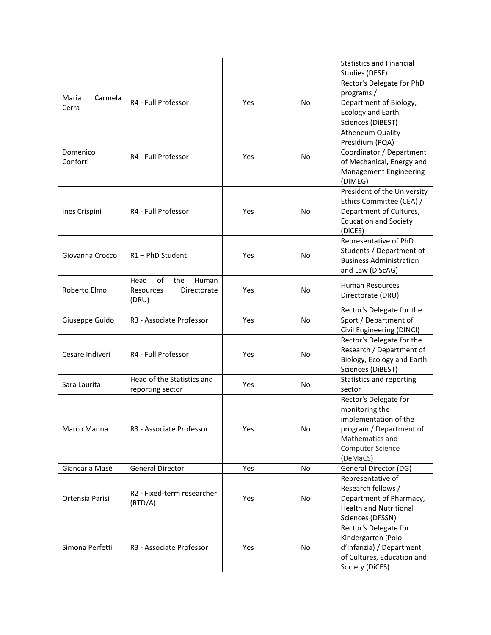|                  |                                      |     |           | <b>Statistics and Financial</b>               |
|------------------|--------------------------------------|-----|-----------|-----------------------------------------------|
|                  |                                      |     |           | Studies (DESF)                                |
|                  |                                      |     |           | Rector's Delegate for PhD                     |
|                  |                                      |     |           | programs/                                     |
| Carmela<br>Maria | R4 - Full Professor                  | Yes | No        | Department of Biology,                        |
| Cerra            |                                      |     |           | <b>Ecology and Earth</b>                      |
|                  |                                      |     |           | Sciences (DiBEST)                             |
|                  |                                      |     |           | <b>Atheneum Quality</b>                       |
|                  |                                      |     |           | Presidium (PQA)                               |
| Domenico         | R4 - Full Professor                  |     |           | Coordinator / Department                      |
| Conforti         |                                      | Yes | No        | of Mechanical, Energy and                     |
|                  |                                      |     |           | <b>Management Engineering</b>                 |
|                  |                                      |     |           | (DIMEG)                                       |
|                  |                                      |     |           | President of the University                   |
|                  |                                      |     |           | Ethics Committee (CEA) /                      |
| Ines Crispini    | R4 - Full Professor                  | Yes | No        | Department of Cultures,                       |
|                  |                                      |     |           | <b>Education and Society</b>                  |
|                  |                                      |     |           | (DiCES)                                       |
|                  |                                      |     |           | Representative of PhD                         |
| Giovanna Crocco  | R1-PhD Student                       | Yes | <b>No</b> | Students / Department of                      |
|                  |                                      |     |           | <b>Business Administration</b>                |
|                  |                                      |     |           | and Law (DiScAG)                              |
|                  | Head<br>οf<br>the<br>Human           |     |           | <b>Human Resources</b>                        |
| Roberto Elmo     | Directorate<br>Resources             | Yes | No        | Directorate (DRU)                             |
|                  | (DRU)                                |     |           |                                               |
|                  |                                      |     |           | Rector's Delegate for the                     |
| Giuseppe Guido   | R <sub>3</sub> - Associate Professor | Yes | No        | Sport / Department of                         |
|                  |                                      |     |           | Civil Engineering (DINCI)                     |
|                  |                                      |     |           | Rector's Delegate for the                     |
| Cesare Indiveri  | R4 - Full Professor                  | Yes | No        | Research / Department of                      |
|                  |                                      |     |           | Biology, Ecology and Earth                    |
|                  | Head of the Statistics and           |     |           | Sciences (DiBEST)<br>Statistics and reporting |
| Sara Laurita     |                                      | Yes | No        |                                               |
|                  | reporting sector                     |     |           | sector<br>Rector's Delegate for               |
|                  |                                      |     |           | monitoring the                                |
|                  |                                      |     |           | implementation of the                         |
| Marco Manna      | R <sub>3</sub> - Associate Professor | Yes | No        | program / Department of                       |
|                  |                                      |     |           | Mathematics and                               |
|                  |                                      |     |           | Computer Science                              |
|                  |                                      |     |           | (DeMaCS)                                      |
| Giancarla Masè   | General Director                     | Yes | No        | General Director (DG)                         |
|                  |                                      |     |           | Representative of                             |
|                  |                                      |     |           | Research fellows /                            |
| Ortensia Parisi  | R2 - Fixed-term researcher           | Yes | No        | Department of Pharmacy,                       |
|                  | (RTD/A)                              |     |           | <b>Health and Nutritional</b>                 |
|                  |                                      |     |           | Sciences (DFSSN)                              |
|                  |                                      |     |           | Rector's Delegate for                         |
|                  |                                      | Yes |           | Kindergarten (Polo                            |
| Simona Perfetti  | R3 - Associate Professor             |     | No        | d'Infanzia) / Department                      |
|                  |                                      |     |           | of Cultures, Education and                    |
|                  |                                      |     |           | Society (DiCES)                               |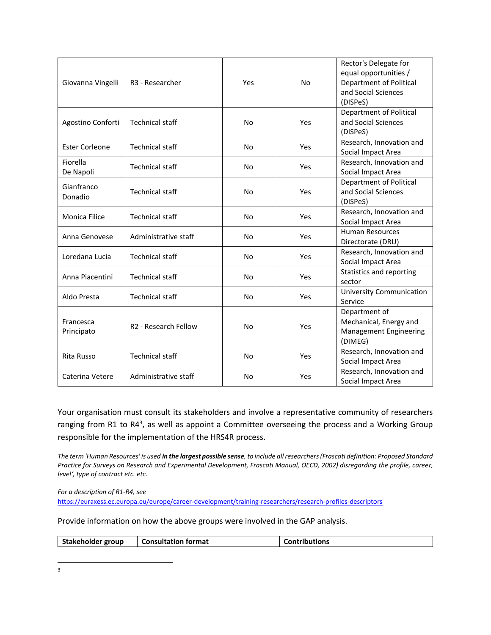| Giovanna Vingelli       | R <sub>3</sub> - Researcher      | Yes       | <b>No</b> | Rector's Delegate for<br>equal opportunities /<br><b>Department of Political</b><br>and Social Sciences<br>(DISPeS) |
|-------------------------|----------------------------------|-----------|-----------|---------------------------------------------------------------------------------------------------------------------|
| Agostino Conforti       | <b>Technical staff</b>           | No        | Yes       | <b>Department of Political</b><br>and Social Sciences<br>(DISPeS)                                                   |
| <b>Ester Corleone</b>   | <b>Technical staff</b>           | No        | Yes       | Research, Innovation and<br>Social Impact Area                                                                      |
| Fiorella<br>De Napoli   | <b>Technical staff</b>           | No        | Yes       | Research, Innovation and<br>Social Impact Area                                                                      |
| Gianfranco<br>Donadio   | <b>Technical staff</b>           | No        | Yes       | <b>Department of Political</b><br>and Social Sciences<br>(DISPeS)                                                   |
| Monica Filice           | <b>Technical staff</b>           | <b>No</b> | Yes       | Research, Innovation and<br>Social Impact Area                                                                      |
| Anna Genovese           | Administrative staff             | No        | Yes       | <b>Human Resources</b><br>Directorate (DRU)                                                                         |
| Loredana Lucia          | <b>Technical staff</b>           | No        | Yes       | Research, Innovation and<br>Social Impact Area                                                                      |
| Anna Piacentini         | <b>Technical staff</b>           | No        | Yes       | Statistics and reporting<br>sector                                                                                  |
| Aldo Presta             | <b>Technical staff</b>           | No        | Yes       | <b>University Communication</b><br>Service                                                                          |
| Francesca<br>Principato | R <sub>2</sub> - Research Fellow | No        | Yes       | Department of<br>Mechanical, Energy and<br><b>Management Engineering</b><br>(DIMEG)                                 |
| Rita Russo              | <b>Technical staff</b>           | No        | Yes       | Research, Innovation and<br>Social Impact Area                                                                      |
| Caterina Vetere         | Administrative staff             | No        | Yes       | Research, Innovation and<br>Social Impact Area                                                                      |

Your organisation must consult its stakeholders and involve a representative community of researchers ranging from R1 to R4<sup>3</sup>, as well as appoint a Committee overseeing the process and a Working Group responsible for the implementation of the HRS4R process.

*The term 'Human Resources' is used in the largest possible sense, to include all researchers (Frascati definition: Proposed Standard Practice for Surveys on Research and Experimental Development, Frascati Manual, OECD, 2002) disregarding the profile, career' level', type of contract etc. etc.* 

*For a description of R1-R4, see*  <https://euraxess.ec.europa.eu/europe/career-development/training-researchers/research-profiles-descriptors>

Provide information on how the above groups were involved in the GAP analysis.

|  | Stakeholder group | <b>Consultation format</b> | Contributions |
|--|-------------------|----------------------------|---------------|
|--|-------------------|----------------------------|---------------|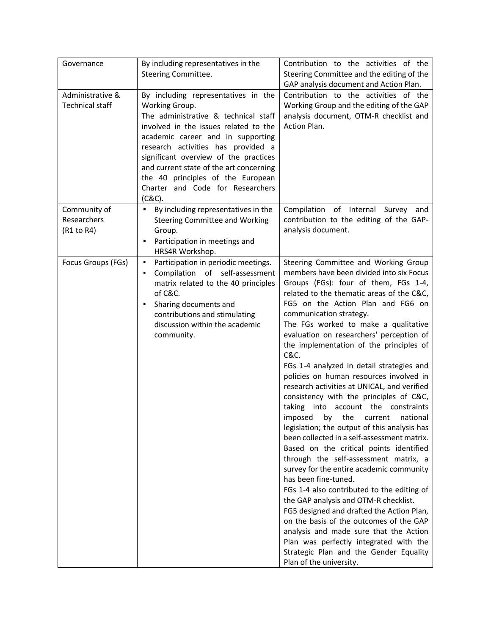| Governance                                 | By including representatives in the<br>Steering Committee.                                                                                                                                                                                                                                                                                                                                  | Contribution to the activities of the<br>Steering Committee and the editing of the<br>GAP analysis document and Action Plan.                                                                                                                                                                                                                                                                                                                                                                                                                                                                                                                                                                                                                                                                                                                                                                                                                                                                                                                                                                                                                                                                                                            |
|--------------------------------------------|---------------------------------------------------------------------------------------------------------------------------------------------------------------------------------------------------------------------------------------------------------------------------------------------------------------------------------------------------------------------------------------------|-----------------------------------------------------------------------------------------------------------------------------------------------------------------------------------------------------------------------------------------------------------------------------------------------------------------------------------------------------------------------------------------------------------------------------------------------------------------------------------------------------------------------------------------------------------------------------------------------------------------------------------------------------------------------------------------------------------------------------------------------------------------------------------------------------------------------------------------------------------------------------------------------------------------------------------------------------------------------------------------------------------------------------------------------------------------------------------------------------------------------------------------------------------------------------------------------------------------------------------------|
| Administrative &<br><b>Technical staff</b> | By including representatives in the<br>Working Group.<br>The administrative & technical staff<br>involved in the issues related to the<br>academic career and in supporting<br>research activities has provided a<br>significant overview of the practices<br>and current state of the art concerning<br>the 40 principles of the European<br>Charter and Code for Researchers<br>$(C&C)$ . | Contribution to the activities of the<br>Working Group and the editing of the GAP<br>analysis document, OTM-R checklist and<br>Action Plan.                                                                                                                                                                                                                                                                                                                                                                                                                                                                                                                                                                                                                                                                                                                                                                                                                                                                                                                                                                                                                                                                                             |
| Community of<br>Researchers<br>(R1 to R4)  | • By including representatives in the<br><b>Steering Committee and Working</b><br>Group.<br>Participation in meetings and<br>٠<br>HRS4R Workshop.                                                                                                                                                                                                                                           | Compilation of Internal Survey<br>and<br>contribution to the editing of the GAP-<br>analysis document.                                                                                                                                                                                                                                                                                                                                                                                                                                                                                                                                                                                                                                                                                                                                                                                                                                                                                                                                                                                                                                                                                                                                  |
| Focus Groups (FGs)                         | Participation in periodic meetings.<br>٠<br>Compilation of self-assessment<br>matrix related to the 40 principles<br>of C&C.<br>Sharing documents and<br>٠<br>contributions and stimulating<br>discussion within the academic<br>community.                                                                                                                                                 | Steering Committee and Working Group<br>members have been divided into six Focus<br>Groups (FGs): four of them, FGs 1-4,<br>related to the thematic areas of the C&C,<br>FG5 on the Action Plan and FG6 on<br>communication strategy.<br>The FGs worked to make a qualitative<br>evaluation on researchers' perception of<br>the implementation of the principles of<br>C&C.<br>FGs 1-4 analyzed in detail strategies and<br>policies on human resources involved in<br>research activities at UNICAL, and verified<br>consistency with the principles of C&C,<br>taking into account the constraints<br>imposed by the current national<br>legislation; the output of this analysis has<br>been collected in a self-assessment matrix.<br>Based on the critical points identified<br>through the self-assessment matrix, a<br>survey for the entire academic community<br>has been fine-tuned.<br>FGs 1-4 also contributed to the editing of<br>the GAP analysis and OTM-R checklist.<br>FG5 designed and drafted the Action Plan,<br>on the basis of the outcomes of the GAP<br>analysis and made sure that the Action<br>Plan was perfectly integrated with the<br>Strategic Plan and the Gender Equality<br>Plan of the university. |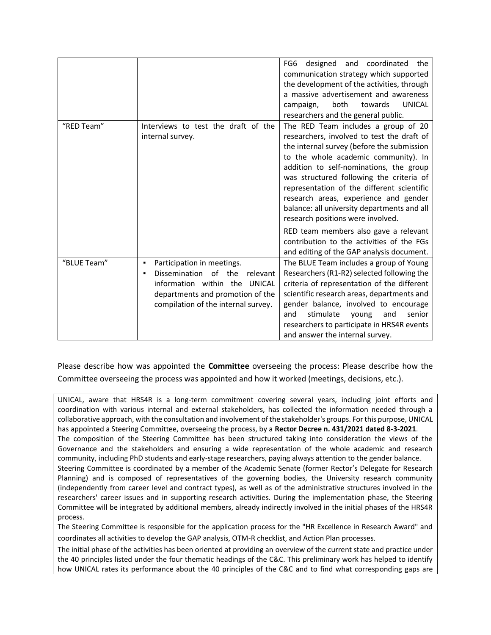|             |                                                                                                                                                                                              | FG6<br>designed<br>coordinated<br>the<br>and<br>communication strategy which supported<br>the development of the activities, through<br>a massive advertisement and awareness<br><b>UNICAL</b><br>both<br>campaign,<br>towards<br>researchers and the general public.                                                                                                                                                                                                                                                                                                        |
|-------------|----------------------------------------------------------------------------------------------------------------------------------------------------------------------------------------------|------------------------------------------------------------------------------------------------------------------------------------------------------------------------------------------------------------------------------------------------------------------------------------------------------------------------------------------------------------------------------------------------------------------------------------------------------------------------------------------------------------------------------------------------------------------------------|
| "RED Team"  | Interviews to test the draft of the<br>internal survey.                                                                                                                                      | The RED Team includes a group of 20<br>researchers, involved to test the draft of<br>the internal survey (before the submission<br>to the whole academic community). In<br>addition to self-nominations, the group<br>was structured following the criteria of<br>representation of the different scientific<br>research areas, experience and gender<br>balance: all university departments and all<br>research positions were involved.<br>RED team members also gave a relevant<br>contribution to the activities of the FGs<br>and editing of the GAP analysis document. |
| "BLUE Team" | Participation in meetings.<br>٠<br>Dissemination<br>of the<br>relevant<br>information within the<br><b>UNICAL</b><br>departments and promotion of the<br>compilation of the internal survey. | The BLUE Team includes a group of Young<br>Researchers (R1-R2) selected following the<br>criteria of representation of the different<br>scientific research areas, departments and<br>gender balance, involved to encourage<br>stimulate<br>and<br>and<br>senior<br>young<br>researchers to participate in HRS4R events<br>and answer the internal survey.                                                                                                                                                                                                                   |

Please describe how was appointed the **Committee** overseeing the process: Please describe how the Committee overseeing the process was appointed and how it worked (meetings, decisions, etc.).

UNICAL, aware that HRS4R is a long-term commitment covering several years, including joint efforts and coordination with various internal and external stakeholders, has collected the information needed through a collaborative approach, with the consultation and involvement of the stakeholder's groups. For this purpose, UNICAL has appointed a Steering Committee, overseeing the process, by a **Rector Decree n. 431/2021 dated 8-3-2021**. The composition of the Steering Committee has been structured taking into consideration the views of the Governance and the stakeholders and ensuring a wide representation of the whole academic and research community, including PhD students and early-stage researchers, paying always attention to the gender balance. Steering Committee is coordinated by a member of the Academic Senate (former Rector's Delegate for Research Planning) and is composed of representatives of the governing bodies, the University research community (independently from career level and contract types), as well as of the administrative structures involved in the researchers' career issues and in supporting research activities. During the implementation phase, the Steering Committee will be integrated by additional members, already indirectly involved in the initial phases of the HRS4R process.

The Steering Committee is responsible for the application process for the "HR Excellence in Research Award" and coordinates all activities to develop the GAP analysis, OTM-R checklist, and Action Plan processes.

The initial phase of the activities has been oriented at providing an overview of the current state and practice under the 40 principles listed under the four thematic headings of the C&C. This preliminary work has helped to identify how UNICAL rates its performance about the 40 principles of the C&C and to find what corresponding gaps are